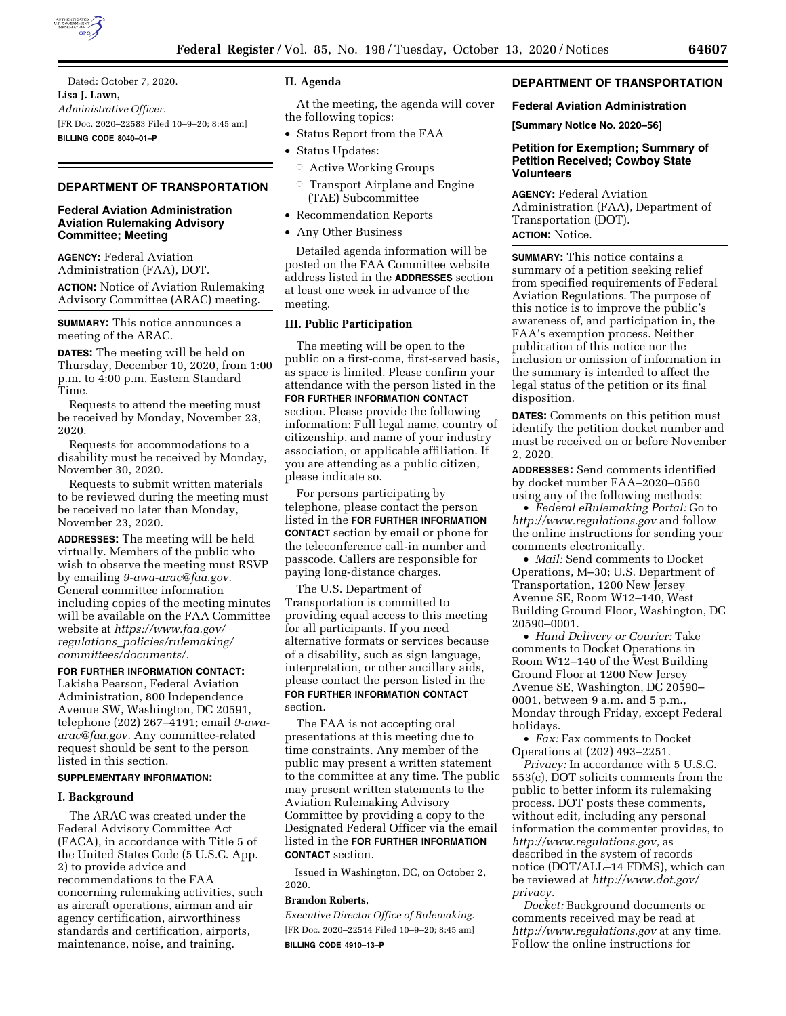

Dated: October 7, 2020. **Lisa J. Lawn,**  *Administrative Officer.*  [FR Doc. 2020–22583 Filed 10–9–20; 8:45 am] **BILLING CODE 8040–01–P** 

# **DEPARTMENT OF TRANSPORTATION**

# **Federal Aviation Administration Aviation Rulemaking Advisory Committee; Meeting**

**AGENCY:** Federal Aviation Administration (FAA), DOT.

**ACTION:** Notice of Aviation Rulemaking Advisory Committee (ARAC) meeting.

**SUMMARY:** This notice announces a meeting of the ARAC.

**DATES:** The meeting will be held on Thursday, December 10, 2020, from 1:00 p.m. to 4:00 p.m. Eastern Standard Time.

Requests to attend the meeting must be received by Monday, November 23, 2020.

Requests for accommodations to a disability must be received by Monday, November 30, 2020.

Requests to submit written materials to be reviewed during the meeting must be received no later than Monday, November 23, 2020.

**ADDRESSES:** The meeting will be held virtually. Members of the public who wish to observe the meeting must RSVP by emailing *[9-awa-arac@faa.gov.](mailto:9-awa-arac@faa.gov)*  General committee information including copies of the meeting minutes will be available on the FAA Committee website at *[https://www.faa.gov/](https://www.faa.gov/regulations_policies/rulemaking/committees/documents/)  regulations*\_*[policies/rulemaking/](https://www.faa.gov/regulations_policies/rulemaking/committees/documents/)  [committees/documents/.](https://www.faa.gov/regulations_policies/rulemaking/committees/documents/)* 

**FOR FURTHER INFORMATION CONTACT:**  Lakisha Pearson, Federal Aviation Administration, 800 Independence Avenue SW, Washington, DC 20591, telephone (202) 267–4191; email *[9-awa](mailto:9-awa-arac@faa.gov)[arac@faa.gov.](mailto:9-awa-arac@faa.gov)* Any committee-related request should be sent to the person listed in this section.

# **SUPPLEMENTARY INFORMATION:**

### **I. Background**

The ARAC was created under the Federal Advisory Committee Act (FACA), in accordance with Title 5 of the United States Code (5 U.S.C. App. 2) to provide advice and recommendations to the FAA concerning rulemaking activities, such as aircraft operations, airman and air agency certification, airworthiness standards and certification, airports, maintenance, noise, and training.

## **II. Agenda**

At the meeting, the agenda will cover the following topics:

- Status Report from the FAA
- Status Updates:
	- $\circ$  Active Working Groups
	- $\circ$  Transport Airplane and Engine (TAE) Subcommittee
- Recommendation Reports
- Any Other Business

Detailed agenda information will be posted on the FAA Committee website address listed in the **ADDRESSES** section at least one week in advance of the meeting.

## **III. Public Participation**

The meeting will be open to the public on a first-come, first-served basis, as space is limited. Please confirm your attendance with the person listed in the **FOR FURTHER INFORMATION CONTACT** section. Please provide the following information: Full legal name, country of citizenship, and name of your industry association, or applicable affiliation. If you are attending as a public citizen, please indicate so.

For persons participating by telephone, please contact the person listed in the **FOR FURTHER INFORMATION CONTACT** section by email or phone for the teleconference call-in number and passcode. Callers are responsible for paying long-distance charges.

The U.S. Department of Transportation is committed to providing equal access to this meeting for all participants. If you need alternative formats or services because of a disability, such as sign language, interpretation, or other ancillary aids, please contact the person listed in the **FOR FURTHER INFORMATION CONTACT** section.

The FAA is not accepting oral presentations at this meeting due to time constraints. Any member of the public may present a written statement to the committee at any time. The public may present written statements to the Aviation Rulemaking Advisory Committee by providing a copy to the Designated Federal Officer via the email listed in the **FOR FURTHER INFORMATION CONTACT** section.

Issued in Washington, DC, on October 2, 2020.

#### **Brandon Roberts,**

*Executive Director Office of Rulemaking.*  [FR Doc. 2020–22514 Filed 10–9–20; 8:45 am] **BILLING CODE 4910–13–P** 

# **DEPARTMENT OF TRANSPORTATION**

### **Federal Aviation Administration**

**[Summary Notice No. 2020–56]** 

# **Petition for Exemption; Summary of Petition Received; Cowboy State Volunteers**

**AGENCY:** Federal Aviation Administration (FAA), Department of Transportation (DOT). **ACTION:** Notice.

**SUMMARY:** This notice contains a summary of a petition seeking relief from specified requirements of Federal Aviation Regulations. The purpose of this notice is to improve the public's awareness of, and participation in, the FAA's exemption process. Neither publication of this notice nor the inclusion or omission of information in the summary is intended to affect the legal status of the petition or its final disposition.

**DATES:** Comments on this petition must identify the petition docket number and must be received on or before November 2, 2020.

**ADDRESSES:** Send comments identified by docket number FAA–2020–0560 using any of the following methods:

• *Federal eRulemaking Portal:* Go to *<http://www.regulations.gov>* and follow the online instructions for sending your comments electronically.

• *Mail:* Send comments to Docket Operations, M–30; U.S. Department of Transportation, 1200 New Jersey Avenue SE, Room W12–140, West Building Ground Floor, Washington, DC 20590–0001.

• *Hand Delivery or Courier:* Take comments to Docket Operations in Room W12–140 of the West Building Ground Floor at 1200 New Jersey Avenue SE, Washington, DC 20590– 0001, between 9 a.m. and 5 p.m., Monday through Friday, except Federal holidays.

• *Fax:* Fax comments to Docket Operations at (202) 493–2251.

*Privacy:* In accordance with 5 U.S.C. 553(c), DOT solicits comments from the public to better inform its rulemaking process. DOT posts these comments, without edit, including any personal information the commenter provides, to *[http://www.regulations.gov,](http://www.regulations.gov)* as described in the system of records notice (DOT/ALL–14 FDMS), which can be reviewed at *[http://www.dot.gov/](http://www.dot.gov/privacy)  [privacy.](http://www.dot.gov/privacy)* 

*Docket:* Background documents or comments received may be read at *<http://www.regulations.gov>* at any time. Follow the online instructions for